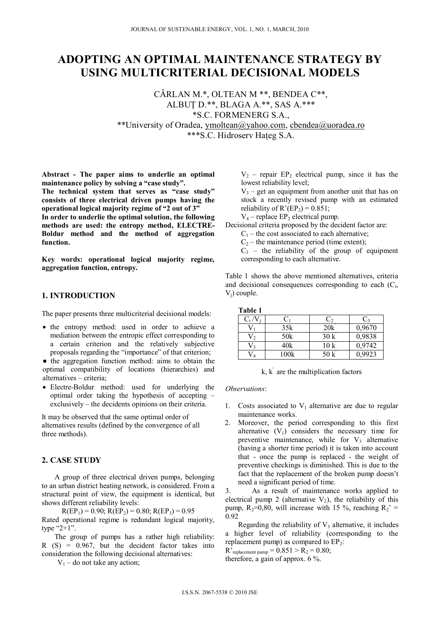# **ADOPTING AN OPTIMAL MAINTENANCE STRATEGY BY USING MULTICRITERIAL DECISIONAL MODELS**

CÂRLAN M.\*, OLTEAN M \*\*, BENDEA C\*\*, ALBUŢ D.\*\*, BLAGA A.\*\*, SAS A.\*\*\* \*S.C. FORMENERG S.A., \*\*University of Oradea, ymoltean@yahoo.com, cbendea@uoradea.ro \*\*\*S.C. Hidroserv Hateg S.A.

**Abstract - The paper aims to underlie an optimal maintenance policy by solving a "case study".** 

**The technical system that serves as "case study" consists of three electrical driven pumps having the operational logical majority regime of "2 out of 3"** 

**In order to underlie the optimal solution, the following methods are used: the entropy method, ELECTRE-Boldur method and the method of aggregation function.** 

**Key words: operational logical majority regime, aggregation function, entropy.** 

# **1. INTRODUCTION**

The paper presents three multicriterial decisional models:

• the entropy method: used in order to achieve a mediation between the entropic effect corresponding to a certain criterion and the relatively subjective proposals regarding the "importance" of that criterion;

● the aggregation function method: aims to obtain the optimal compatibility of locations (hierarchies) and alternatives – criteria;

 Electre-Boldur method: used for underlying the optimal order taking the hypothesis of accepting – exclusively – the decidents opinions on their criteria.

It may be observed that the same optimal order of alternatives results (defined by the convergence of all three methods).

### **2. CASE STUDY**

A group of three electrical driven pumps, belonging to an urban district heating network, is considered. From a structural point of view, the equipment is identical, but shows different reliability levels:

 $R(EP_1) = 0.90$ ;  $R(EP_2) = 0.80$ ;  $R(EP_3) = 0.95$ Rated operational regime is redundant logical majority, type "2+1".

The group of pumps has a rather high reliability:  $R(S) = 0.967$ , but the decident factor takes into consideration the following decisional alternatives:

 $V_1$  – do not take any action;

 $V_2$  – repair EP<sub>2</sub> electrical pump, since it has the lowest reliability level;

 $V_3$  – get an equipment from another unit that has on stock a recently revised pump with an estimated reliability of  $R'(EP_2) = 0.851$ ;

 $V_4$  – replace EP<sub>2</sub> electrical pump.

Decisional criteria proposed by the decident factor are:

 $C_1$  – the cost associated to each alternative;

 $C_2$  – the maintenance period (time extent);

 $C_3$  – the reliability of the group of equipment corresponding to each alternative.

Table 1 shows the above mentioned alternatives, criteria and decisional consequences corresponding to each  $(C_i)$ , V<sub>i</sub>) couple.

| Table 1 |      |                 |                 |
|---------|------|-----------------|-----------------|
| $C_i$ / |      | C,              | C3              |
|         | 35k  | 20k             | 0,9670          |
|         | 50k  | 30k             | 0,9838          |
|         | 40k  | 10 <sub>k</sub> | 0,9742          |
|         | 100k | 50 k            | $\sqrt{0.9923}$ |

 $k, k'$  are the multiplication factors

*Observations*:

- 1. Costs associated to  $V_1$  alternative are due to regular maintenance works.
- 2. Moreover, the period corresponding to this first alternative  $(V_1)$  considers the necessary time for preventive maintenance, while for  $V_3$  alternative (having a shorter time period) it is taken into account that - once the pump is replaced - the weight of preventive checkings is diminished. This is due to the fact that the replacement of the broken pump doesn't need a significant period of time.

3. As a result of maintenance works applied to electrical pump 2 (alternative  $V_2$ ), the reliability of this pump,  $R_2=0.80$ , will increase with 15 %, reaching  $R_2$ ' = 0.92

Regarding the reliability of  $V_3$  alternative, it includes a higher level of reliability (corresponding to the replacement pump) as compared to  $EP_2$ :

R'<sub>replacement pump</sub> =  $0.851 > R_2 = 0.80$ ;

therefore, a gain of approx. 6 %.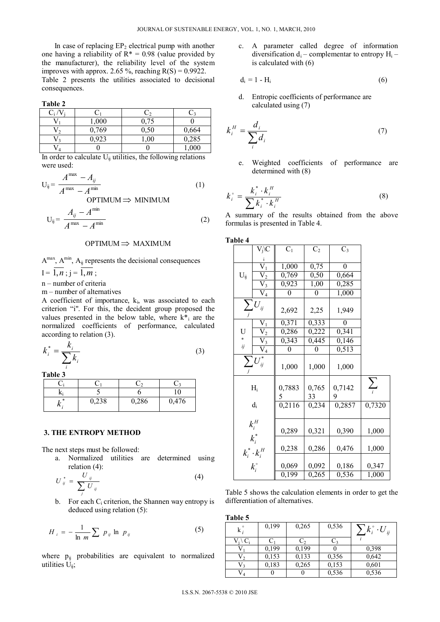In case of replacing  $EP_2$  electrical pump with another one having a reliability of  $R^* = 0.98$  (value provided by the manufacturer), the reliability level of the system improves with approx. 2.65 %, reaching  $R(S) = 0.9922$ . Table 2 presents the utilities associated to decisional consequences.

**Table 2** 

| じ; / |       |      |       |
|------|-------|------|-------|
|      | 1,000 | 0,75 |       |
|      | 0,769 | 0,50 | 0,664 |
| 12   | 0,923 | 1,00 | 0,285 |
| Vл   |       |      | 1,000 |

In order to calculate  $U_{ij}$  utilities, the following relations were used:

$$
U_{ij} = \frac{A^{max} - A_{ij}}{A^{max} - A^{min}}
$$
 (1)

 $OPTIMUM \implies MINIMUM$ 

$$
U_{ij} = \frac{A_{ij} - A^{\min}}{A^{\max} - A^{\min}}
$$
 (2)

#### $OPTIMUM \implies MAXIMUM$

 $A^{max}$ ,  $A^{min}$ ,  $A_{ii}$  represents the decisional consequences  $I = 1, n$ ;  $j = 1, m$ ;

n – number of criteria

m – number of alternatives

A coefficient of importance,  $k_i$ , was associated to each criterion "i". For this, the decident group proposed the values presented in the below table, where  $k^*$  are the normalized coefficients of performance, calculated according to relation (3).

$$
k_i^* = \frac{k_i}{\sum k_i} \tag{3}
$$

**Table 3**

*i*

|       |       | 10    |  |
|-------|-------|-------|--|
| 0,238 | 0,286 | 0,476 |  |

#### **3. THE ENTROPY METHOD**

The next steps must be followed:

a. Normalized utilities are determined using relation (4):

$$
U_{ij}^* = \frac{U_{ij}}{\sum_j U_{ij}}\tag{4}
$$

b. For each  $C_i$  criterion, the Shannen way entropy is deduced using relation (5):

$$
H_{i} = -\frac{1}{\ln m} \sum p_{ij} \ln p_{ij} \tag{5}
$$

where  $p_{ij}$  probabilities are equivalent to normalized utilities  $U_{ii}$ ;

c. A parameter called degree of information diversification  $d_i$  – complementar to entropy  $H_i$  – is calculated with (6)

$$
\mathbf{d_i} = 1 - \mathbf{H_i} \tag{6}
$$

d. Entropic coefficients of performance are calculated using (7)

$$
k_i^H = \frac{d_i}{\sum_i d_i} \tag{7}
$$

e. Weighted coefficients of performance are determined with (8)

$$
k_i^\circ = \frac{k_i^\ast \cdot k_i^H}{\sum k_i^\ast \cdot k_i^H} \tag{8}
$$

A summary of the results obtained from the above formulas is presented in Table 4.

| Table 4  |                                         |             |                |             |            |
|----------|-----------------------------------------|-------------|----------------|-------------|------------|
|          | $V_j$ \C                                | $C_1$       | C <sub>2</sub> | $C_3$       |            |
|          |                                         |             |                |             |            |
|          | $\overline{\mathsf{V}}_1$               | 1,000       | 0,75           | 0           |            |
| $U_{ij}$ |                                         | 0,769       | 0,50           | 0,664       |            |
|          | $\frac{\overline{V}_2}{V_3}$            | 0,923       | 1,00           | 0,285       |            |
|          | $\bar{V}_{\underline{4}}$               | 0           | 0              | 1,000       |            |
|          | $\sum_j U_{ij}$                         | 2,692       | 2,25           | 1,949       |            |
|          | $\rm V_1$                               | 0,371       | 0,333          | 0           |            |
| U        | $\overline{V_2}$                        | 0,286       | 0,222          | 0,341       |            |
| $\ast$   |                                         | 0,343       | 0,445          | 0,146       |            |
| ij       | $\frac{\overline{V_3}}{\overline{V_4}}$ | 0           | $\theta$       | 0,513       |            |
|          | $\sum_{j}$ $\overline{U_{ij}^*}$        | 1,000       | 1,000          | 1,000       |            |
|          | $H_i$                                   | 0,7883<br>5 | 0,765<br>33    | 0,7142<br>9 | $\sum_{i}$ |
|          | $d_i$                                   | 0,2116      | 0,234          | 0,2857      | 0,7320     |
|          | $k_i^H$<br>$k_i^*$                      |             |                |             |            |
|          |                                         | 0,289       | 0,321          | 0,390       | 1,000      |
|          |                                         | 0,238       | 0,286          | 0,476       | 1,000      |
|          | $k_i^* \cdot k_i^H$<br>$k_i^{\circ}$    | 0,069       | 0,092          | 0,186       | 0,347      |
|          |                                         | 0,199       | 0,265          | 0,536       | 1,000      |

Table 5 shows the calculation elements in order to get the differentiation of alternatives.

| Table 5            |       |       |       |                            |
|--------------------|-------|-------|-------|----------------------------|
| $k_i$              | 0,199 | 0,265 | 0,536 | $k_i^{\circ} \cdot U_{ij}$ |
| $V_i\setminus C_i$ | $C_1$ | C,    | $C_3$ |                            |
|                    | 0,199 | 0,199 |       | 0,398                      |
| $V_{2}$            | 0,153 | 0,133 | 0,356 | 0,642                      |
| $V_3$              | 0,183 | 0,265 | 0,153 | 0,601                      |
| $\rm V_4$          |       |       | 0,536 | 0,536                      |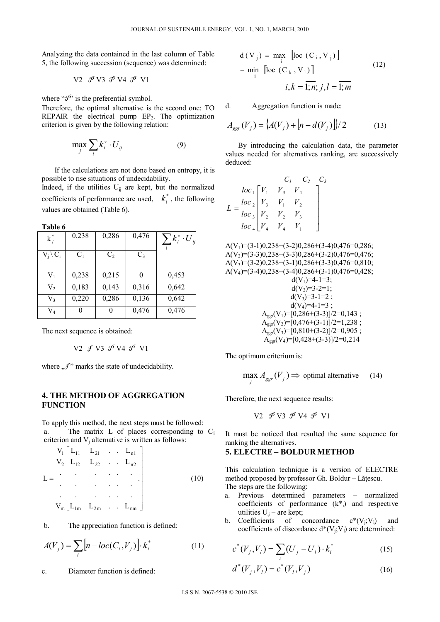Analyzing the data contained in the last column of Table 5, the following succession (sequence) was determined:

$$
V2 \n\mathcal{P} V3 \n\mathcal{P} V4 \n\mathcal{P} V1
$$

where " $\mathcal{P}$ " is the preferential symbol.

Therefore, the optimal alternative is the second one: TO REPAIR the electrical pump  $EP_2$ . The optimization criterion is given by the following relation:

$$
\max_{j} \sum_{i} k_i^{\circ} \cdot U_{ij} \tag{9}
$$

If the calculations are not done based on entropy, it is possible to rise situations of undecidability. Indeed, if the utilities  $U_{ij}$  are kept, but the normalized coefficients of performance are used,  $k_i^*$ , the following values are obtained (Table 6).

**Table 6** 

| $k_i^{\circ}$       | 0,238 | 0,286          | 0,476 | $\sum k_i^{\circ} \cdot {U}_{ij}$ |
|---------------------|-------|----------------|-------|-----------------------------------|
| $V_i \setminus C_i$ | $C_1$ | C <sub>2</sub> | $C_3$ |                                   |
| $V_1$               | 0,238 | 0,215          | 0     | 0,453                             |
| V <sub>2</sub>      | 0,183 | 0,143          | 0,316 | 0,642                             |
| $V_3$               | 0,220 | 0,286          | 0,136 | 0,642                             |
| $\rm V_4$           | 0     | 0              | 0,476 | 0,476                             |

The next sequence is obtained:

$$
V2 \mathcal{J} V3 \mathcal{P} V4 \mathcal{P} V1
$$

where  $\mathcal{I}$ " marks the state of undecidability.

## **4. THE METHOD OF AGGREGATION FUNCTION**

To apply this method, the next steps must be followed: a. The matrix L of places corresponding to C<sub>i</sub> criterion and  $V_i$  alternative is written as follows:

$$
V_{1}\begin{bmatrix}L_{11} & L_{21} & \dots & L_{n1} \\ L_{12} & L_{22} & \dots & L_{n2} \\ \vdots & \vdots & \ddots & \vdots \\ L_{m}\begin{bmatrix}L_{1m} & L_{2m} & \dots & L_{mn}\end{bmatrix}\end{bmatrix}
$$
 (10)

b. The appreciation function is defined:

$$
A(V_j) = \sum_i \left[ n - loc(C_i, V_j) \right] \cdot k_i^* \tag{11}
$$

c. Diameter function is defined:

$$
d(V_j) = \max_{i} [loc (C_i, V_j)]
$$
  
- min\_{i} [loc (C\_k, V\_1)]  
 $i, k = \overline{1; n; j, l} = \overline{1; m}$  (12)

d. Aggregation function is made:

$$
A_{\rm ggr}(V_j) = \left\{ A(V_j) + \left[ n - d(V_j) \right] \right\} / 2 \tag{13}
$$

By introducing the calculation data, the parameter values needed for alternatives ranking, are successively deduced:

$$
L = \frac{loc_1}{loc_2} \begin{bmatrix} V_1 & V_3 & V_4 \\ V_3 & V_1 & V_2 \\ loc_3 & V_2 & V_3 \\ loc_4 & V_4 & V_1 \end{bmatrix}
$$

$$
A(V_1)=(3-1)0,238+(3-2)0,286+(3-4)0,476=0,286;\\ A(V_2)=(3-3)0,238+(3-3)0,286+(3-2)0,476=0,476;\\ A(V_3)=(3-2)0,238+(3-1)0,286+(3-3)0,476=0,810;\\ A(V_4)=(3-4)0,238+(3-4)0,286+(3-1)0,476=0,428;\\ d(V_1)=4-1=3;\\ d(V_2)=3-2=1;\\ d(V_3)=3-1=2;\\ d(V_4)=4-1=3;\\ A_{gg}(V_1)=[0,286+(3-3)]/2=0,143;\\ A_{gg}(V_2)=[0,476+(3-1)]/2=1,238;\\ A_{gg}(V_3)=[0,810+(3-2)]/2=0,905;\\ A_{gg}(V_4)=[0,428+(3-3)]/2=0,214
$$

The optimum criterium is:

$$
\max_{j} A_{\rm ggr}(V_j) \Rightarrow \text{ optimal alternative} \qquad (14)
$$

Therefore, the next sequence results:

$$
V2 \mathcal{P} V3 \mathcal{P} V4 \mathcal{P} V1
$$

It must be noticed that resulted the same sequence for ranking the alternatives.

#### **5. ELECTRE – BOLDUR METHOD**

This calculation technique is a version of ELECTRE method proposed by professor Gh. Boldur – Lățescu. The steps are the following:

- a. Previous determined parameters normalized coefficients of performance  $(k^*_{i})$  and respective utilities  $U_{ii}$  – are kept;
- b. Coefficients of concordance  $c^*(V_j; V_l)$  and coefficients of discordance  $d^*(V_i; V_l)$  are determined:

$$
c^*(V_j, V_l) = \sum_i (U_j - U_l) \cdot k_i^*
$$
 (15)

$$
d^*(V_j, V_l) = c^*(V_l, V_j)
$$
 (16)